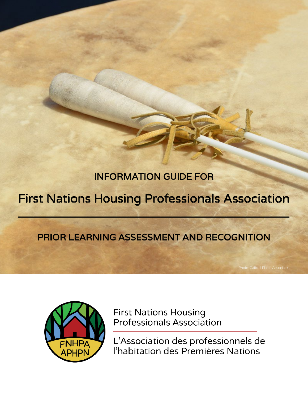# INFORMATION GUIDE FOR

# First Nations Housing Professionals Association

# PRIOR LEARNING ASSESSMENT AND RECOGNITION



**First Nations Housing Professionals Association** 

L'Association des professionnels de l'habitation des Premières Nations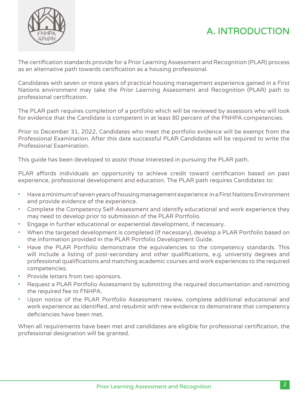



The certification standards provide for a Prior Learning Assessment and Recognition (PLAR) process as an alternative path towards certification as a housing professional.

Candidates with seven or more years of practical housing management experience gained in a First Nations environment may take the Prior Learning Assessment and Recognition (PLAR) path to professional certification.

The PLAR path requires completion of a portfolio which will be reviewed by assessors who will look for evidence that the Candidate is competent in at least 80 percent of the FNHPA competencies.

Prior to December 31, 2022, Candidates who meet the portfolio evidence will be exempt from the Professional Examination. After this date successful PLAR Candidates will be required to write the Professional Examination.

This guide has been developed to assist those interested in pursuing the PLAR path.

PLAR affords individuals an opportunity to achieve credit toward certification based on past experience, professional development and education. The PLAR path requires Candidates to:

- Have a minimum of seven years of housing management experience in a First Nations Environment and provide evidence of the experience.
- Complete the Competency Self-Assessment and identify educational and work experience they may need to develop prior to submission of the PLAR Portfolio.
- Engage in further educational or experiential development, if necessary.
- When the targeted development is completed (if necessary), develop a PLAR Portfolio based on the information provided in the PLAR Portfolio Development Guide.
- Have the PLAR Portfolio demonstrate the equivalencies to the competency standards. This will include a listing of post-secondary and other qualifications, e.g. university degrees and professional qualifications and matching academic courses and work experiences to the required competencies.
- Provide letters from two sponsors.
- Request a PLAR Portfolio Assessment by submitting the required documentation and remitting the required fee to FNHPA.
- Upon notice of the PLAR Portfolio Assessment review, complete additional educational and work experience as identified, and resubmit with new evidence to demonstrate that competency deficiencies have been met.

When all requirements have been met and candidates are eligible for professional certification, the professional designation will be granted.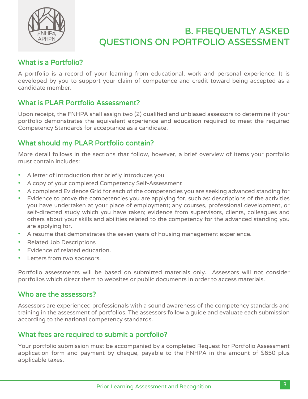

## B. FREQUENTLY ASKED QUESTIONS ON PORTFOLIO ASSESSMENT

### What is a Portfolio?

A portfolio is a record of your learning from educational, work and personal experience. It is developed by you to support your claim of competence and credit toward being accepted as a candidate member.

### What is PLAR Portfolio Assessment?

Upon receipt, the FNHPA shall assign two (2) qualified and unbiased assessors to determine if your portfolio demonstrates the equivalent experience and education required to meet the required Competency Standards for acceptance as a candidate.

### What should my PLAR Portfolio contain?

More detail follows in the sections that follow, however, a brief overview of items your portfolio must contain includes:

- A letter of introduction that briefly introduces you
- A copy of your completed Competency Self-Assessment
- A completed Evidence Grid for each of the competencies you are seeking advanced standing for
- Evidence to prove the competencies you are applying for, such as: descriptions of the activities you have undertaken at your place of employment; any courses, professional development, or self-directed study which you have taken; evidence from supervisors, clients, colleagues and others about your skills and abilities related to the competency for the advanced standing you are applying for.
- A resume that demonstrates the seven years of housing management experience.
- Related Job Descriptions
- Evidence of related education.
- Letters from two sponsors.

Portfolio assessments will be based on submitted materials only. Assessors will not consider portfolios which direct them to websites or public documents in order to access materials.

### Who are the assessors?

Assessors are experienced professionals with a sound awareness of the competency standards and training in the assessment of portfolios. The assessors follow a guide and evaluate each submission according to the national competency standards.

### What fees are required to submit a portfolio?

Your portfolio submission must be accompanied by a completed Request for Portfolio Assessment application form and payment by cheque, payable to the FNHPA in the amount of \$650 plus applicable taxes.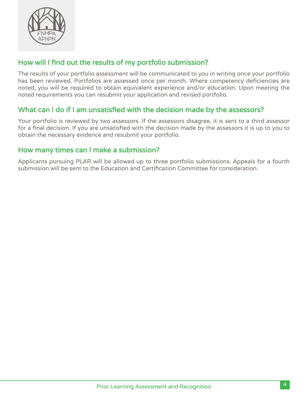

### How will I find out the results of my portfolio submission?

The results of your portfolio assessment will be communicated to you in writing once your portfolio has been reviewed. Portfolios are assessed once per month. Where competency deficiencies are noted, you will be required to obtain equivalent experience and/or education. Upon meeting the noted requirements you can resubmit your application and revised portfolio.

### What can I do if I am unsatisfied with the decision made by the assessors?

Your portfolio is reviewed by two assessors. If the assessors disagree, it is sent to a third assessor for a final decision. If you are unsatisfied with the decision made by the assessors it is up to you to obtain the necessary evidence and resubmit your portfolio.

## How many times can I make a submission?

Applicants pursuing PLAR will be allowed up to three portfolio submissions. Appeals for a fourth submission will be sent to the Education and Certification Committee for consideration.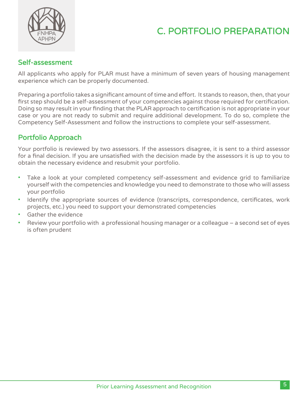



### Self-assessment

All applicants who apply for PLAR must have a minimum of seven years of housing management experience which can be properly documented.

Preparing a portfolio takes a significant amount of time and effort. It stands to reason, then, that your first step should be a self-assessment of your competencies against those required for certification. Doing so may result in your finding that the PLAR approach to certification is not appropriate in your case or you are not ready to submit and require additional development. To do so, complete the Competency Self-Assessment and follow the instructions to complete your self-assessment.

### Portfolio Approach

Your portfolio is reviewed by two assessors. If the assessors disagree, it is sent to a third assessor for a final decision. If you are unsatisfied with the decision made by the assessors it is up to you to obtain the necessary evidence and resubmit your portfolio.

- Take a look at your completed competency self-assessment and evidence grid to familiarize yourself with the competencies and knowledge you need to demonstrate to those who will assess your portfolio
- Identify the appropriate sources of evidence (transcripts, correspondence, certificates, work projects, etc.) you need to support your demonstrated competencies
- Gather the evidence
- Review your portfolio with a professional housing manager or a colleague a second set of eyes is often prudent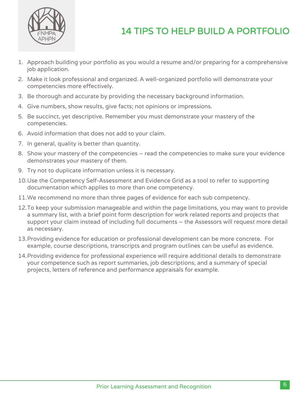

# 14 TIPS TO HELP BUILD A PORTFOLIO

- 1. Approach building your portfolio as you would a resume and/or preparing for a comprehensive job application.
- 2. Make it look professional and organized. A well-organized portfolio will demonstrate your competencies more effectively.
- 3. Be thorough and accurate by providing the necessary background information.
- 4. Give numbers, show results, give facts; not opinions or impressions.
- 5. Be succinct, yet descriptive. Remember you must demonstrate your mastery of the competencies.
- 6. Avoid information that does not add to your claim.
- 7. In general, quality is better than quantity.
- 8. Show your mastery of the competencies read the competencies to make sure your evidence demonstrates your mastery of them.
- 9. Try not to duplicate information unless it is necessary.
- 10.Use the Competency Self-Assessment and Evidence Grid as a tool to refer to supporting documentation which applies to more than one competency.
- 11.We recommend no more than three pages of evidence for each sub competency.
- 12.To keep your submission manageable and within the page limitations, you may want to provide a summary list, with a brief point form description for work related reports and projects that support your claim instead of including full documents – the Assessors will request more detail as necessary.
- 13.Providing evidence for education or professional development can be more concrete. For example, course descriptions, transcripts and program outlines can be useful as evidence.
- 14.Providing evidence for professional experience will require additional details to demonstrate your competence such as report summaries, job descriptions, and a summary of special projects, letters of reference and performance appraisals for example.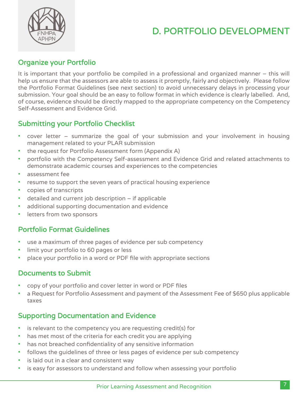# D. PORTFOLIO DEVELOPMENT



## Organize your Portfolio

It is important that your portfolio be compiled in a professional and organized manner – this will help us ensure that the assessors are able to assess it promptly, fairly and objectively. Please follow the Portfolio Format Guidelines (see next section) to avoid unnecessary delays in processing your submission. Your goal should be an easy to follow format in which evidence is clearly labelled. And, of course, evidence should be directly mapped to the appropriate competency on the Competency Self-Assessment and Evidence Grid.

## Submitting your Portfolio Checklist

- cover letter summarize the goal of your submission and your involvement in housing management related to your PLAR submission
- the request for Portfolio Assessment form (Appendix A)
- portfolio with the Competency Self-assessment and Evidence Grid and related attachments to demonstrate academic courses and experiences to the competencies
- assessment fee
- resume to support the seven years of practical housing experience
- copies of transcripts
- detailed and current job description if applicable
- additional supporting documentation and evidence
- letters from two sponsors

## Portfolio Format Guidelines

- use a maximum of three pages of evidence per sub competency
- limit your portfolio to 60 pages or less
- place your portfolio in a word or PDF file with appropriate sections

## Documents to Submit

- copy of your portfolio and cover letter in word or PDF files
- a Request for Portfolio Assessment and payment of the Assessment Fee of \$650 plus applicable taxes

## Supporting Documentation and Evidence

- is relevant to the competency you are requesting credit(s) for
- has met most of the criteria for each credit you are applying
- has not breached confidentiality of any sensitive information
- follows the guidelines of three or less pages of evidence per sub competency
- is laid out in a clear and consistent way
- is easy for assessors to understand and follow when assessing your portfolio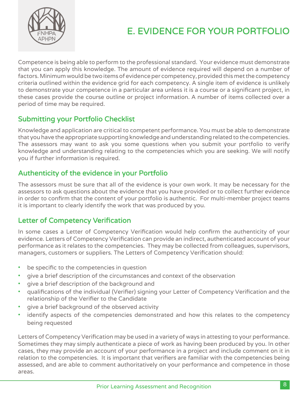

# E. EVIDENCE FOR YOUR PORTFOLIO

Competence is being able to perform to the professional standard. Your evidence must demonstrate that you can apply this knowledge. The amount of evidence required will depend on a number of factors. Minimum would be two items of evidence per competency, provided this met the competency criteria outlined within the evidence grid for each competency. A single item of evidence is unlikely to demonstrate your competence in a particular area unless it is a course or a significant project, in these cases provide the course outline or project information. A number of items collected over a period of time may be required.

### Submitting your Portfolio Checklist

Knowledge and application are critical to competent performance. You must be able to demonstrate that you have the appropriate supporting knowledge and understanding related to the competencies. The assessors may want to ask you some questions when you submit your portfolio to verify knowledge and understanding relating to the competencies which you are seeking. We will notify you if further information is required.

### Authenticity of the evidence in your Portfolio

The assessors must be sure that all of the evidence is your own work. It may be necessary for the assessors to ask questions about the evidence that you have provided or to collect further evidence in order to confirm that the content of your portfolio is authentic. For multi-member project teams it is important to clearly identify the work that was produced by you.

### Letter of Competency Verification

In some cases a Letter of Competency Verification would help confirm the authenticity of your evidence. Letters of Competency Verification can provide an indirect, authenticated account of your performance as it relates to the competencies. They may be collected from colleagues, supervisors, managers, customers or suppliers. The Letters of Competency Verification should:

- be specific to the competencies in question
- give a brief description of the circumstances and context of the observation
- give a brief description of the background and
- qualifications of the individual (Verifier) signing your Letter of Competency Verification and the relationship of the Verifier to the Candidate
- give a brief background of the observed activity
- identify aspects of the competencies demonstrated and how this relates to the competency being requested

Letters of Competency Verification may be used in a variety of ways in attesting to your performance. Sometimes they may simply authenticate a piece of work as having been produced by you. In other cases, they may provide an account of your performance in a project and include comment on it in relation to the competencies. It is important that verifiers are familiar with the competencies being assessed, and are able to comment authoritatively on your performance and competence in those areas.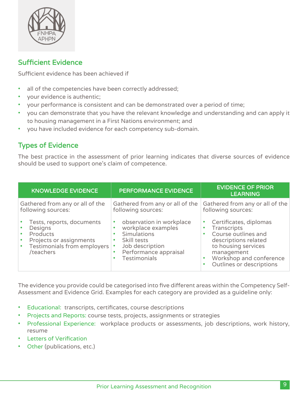

### Sufficient Evidence

Sufficient evidence has been achieved if

- all of the competencies have been correctly addressed;
- your evidence is authentic;
- your performance is consistent and can be demonstrated over a period of time;
- you can demonstrate that you have the relevant knowledge and understanding and can apply it to housing management in a First Nations environment; and
- you have included evidence for each competency sub-domain.

### Types of Evidence

The best practice in the assessment of prior learning indicates that diverse sources of evidence should be used to support one's claim of competence.

| <b>KNOWLEDGE EVIDENCE</b>                                                                                                      | PERFORMANCE EVIDENCE                                                                                                                                                           | <b>EVIDENCE OF PRIOR</b><br><b>LEARNING</b>                                                                                                                                      |
|--------------------------------------------------------------------------------------------------------------------------------|--------------------------------------------------------------------------------------------------------------------------------------------------------------------------------|----------------------------------------------------------------------------------------------------------------------------------------------------------------------------------|
| Gathered from any or all of the<br>following sources:                                                                          | Gathered from any or all of the<br>following sources:                                                                                                                          | Gathered from any or all of the<br>following sources:                                                                                                                            |
| Tests, reports, documents<br>Designs<br><b>Products</b><br>Projects or assignments<br>Testimonials from employers<br>/teachers | observation in workplace<br>$\bullet$<br>workplace examples<br>Simulations<br>$\bullet$<br>Skill tests<br>Job description<br>Performance appraisal<br>٠<br><b>Testimonials</b> | Certificates, diplomas<br>Transcripts<br>Course outlines and<br>descriptions related<br>to housing services<br>management<br>Workshop and conference<br>Outlines or descriptions |

The evidence you provide could be categorised into five different areas within the Competency Self-Assessment and Evidence Grid. Examples for each category are provided as a guideline only:

- Educational: transcripts, certificates, course descriptions
- Projects and Reports: course tests, projects, assignments or strategies
- Professional Experience: workplace products or assessments, job descriptions, work history, resume
- **Letters of Verification**
- Other (publications, etc.)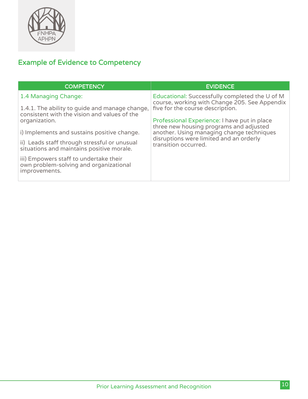

# Example of Evidence to Competency

| <b>COMPETENCY</b>                                                                                            | <b>EVIDENCE</b>                                                                                                                      |  |  |
|--------------------------------------------------------------------------------------------------------------|--------------------------------------------------------------------------------------------------------------------------------------|--|--|
| 1.4 Managing Change:<br>1.4.1. The ability to guide and manage change,                                       | Educational: Successfully completed the U of M<br>course, working with Change 205. See Appendix<br>five for the course description.  |  |  |
| consistent with the vision and values of the<br>organization.<br>i) Implements and sustains positive change. | Professional Experience: I have put in place<br>three new housing programs and adjusted<br>another. Using managing change techniques |  |  |
| ii) Leads staff through stressful or unusual<br>situations and maintains positive morale.                    | disruptions were limited and an orderly<br>transition occurred.                                                                      |  |  |
| iii) Empowers staff to undertake their<br>own problem-solving and organizational<br>improvements.            |                                                                                                                                      |  |  |